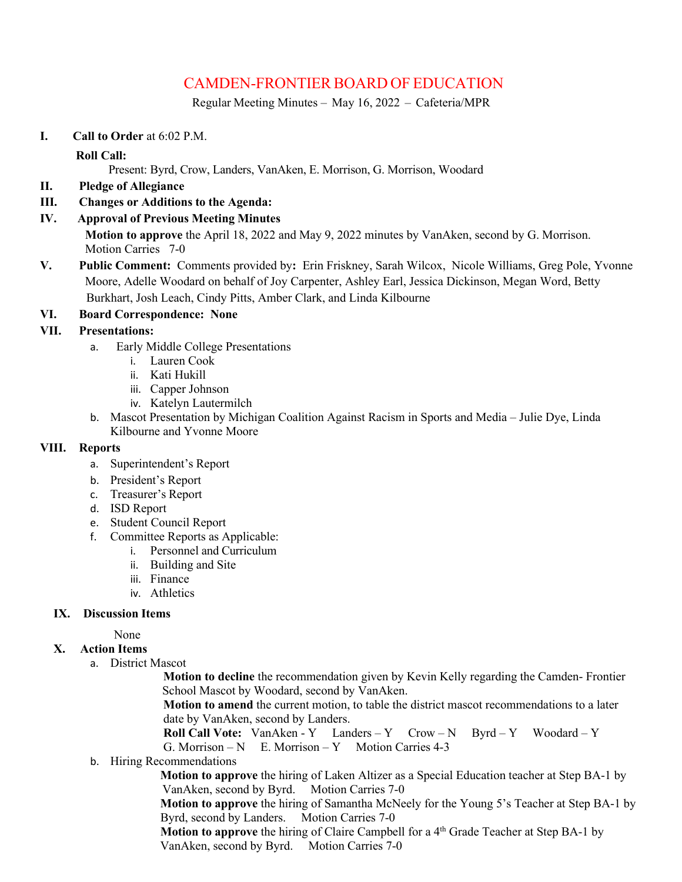# CAMDEN-FRONTIER BOARD OF EDUCATION

Regular Meeting Minutes – May 16, 2022 – Cafeteria/MPR

**I. Call to Order** at 6:02 P.M.

# **Roll Call:**

Present: Byrd, Crow, Landers, VanAken, E. Morrison, G. Morrison, Woodard

- **II. Pledge of Allegiance**
- **III. Changes or Additions to the Agenda:**
- **IV. Approval of Previous Meeting Minutes**

**Motion to approve** the April 18, 2022 and May 9, 2022 minutes by VanAken, second by G. Morrison. Motion Carries 7-0

**V. Public Comment:** Comments provided by**:** Erin Friskney, Sarah Wilcox, Nicole Williams, Greg Pole, Yvonne Moore, Adelle Woodard on behalf of Joy Carpenter, Ashley Earl, Jessica Dickinson, Megan Word, Betty Burkhart, Josh Leach, Cindy Pitts, Amber Clark, and Linda Kilbourne

#### **VI. Board Correspondence: None**

# **VII. Presentations:**

- a.Early Middle College Presentations
	- i. Lauren Cook
	- ii. Kati Hukill
	- iii. Capper Johnson
	- iv. Katelyn Lautermilch
- b. Mascot Presentation by Michigan Coalition Against Racism in Sports and Media Julie Dye, Linda Kilbourne and Yvonne Moore

#### **VIII. Reports**

- a. Superintendent's Report
- b. President's Report
- c. Treasurer's Report
- d. ISD Report
- e. Student Council Report
- f. Committee Reports as Applicable:
	- i. Personnel and Curriculum
	- ii. Building and Site
	- iii. Finance
	- iv. Athletics

# **IX. Discussion Items**

None

# **X. Action Items**

a. District Mascot

**Motion to decline** the recommendation given by Kevin Kelly regarding the Camden- Frontier School Mascot by Woodard, second by VanAken.

**Motion to amend** the current motion, to table the district mascot recommendations to a later date by VanAken, second by Landers.

**Roll Call Vote:** VanAken - Y Landers – Y Crow – N Byrd – Y Woodard – Y G. Morrison – N E. Morrison – Y Motion Carries 4-3

b. Hiring Recommendations

**Motion to approve** the hiring of Laken Altizer as a Special Education teacher at Step BA-1 by VanAken, second by Byrd. Motion Carries 7-0

**Motion to approve** the hiring of Samantha McNeely for the Young 5's Teacher at Step BA-1 by Byrd, second by Landers. Motion Carries 7-0

**Motion to approve** the hiring of Claire Campbell for a 4<sup>th</sup> Grade Teacher at Step BA-1 by VanAken, second by Byrd. Motion Carries 7-0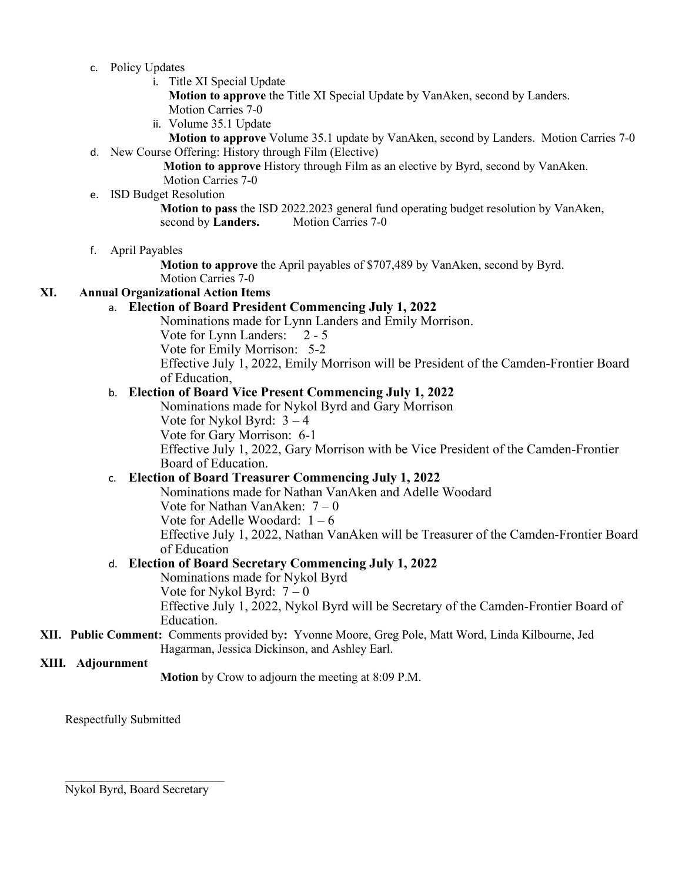- c. Policy Updates
	- i. Title XI Special Update
		- **Motion to approve** the Title XI Special Update by VanAken, second by Landers. Motion Carries 7-0
	- ii. Volume 35.1 Update

**Motion to approve** Volume 35.1 update by VanAken, second by Landers. Motion Carries 7-0 d. New Course Offering: History through Film (Elective)

> **Motion to approve** History through Film as an elective by Byrd, second by VanAken. Motion Carries 7-0

#### e. ISD Budget Resolution

**Motion to pass** the ISD 2022.2023 general fund operating budget resolution by VanAken, second by **Landers.** Motion Carries 7-0

f. April Payables

**Motion to approve** the April payables of \$707,489 by VanAken, second by Byrd. Motion Carries 7-0

# **XI. Annual Organizational Action Items**

# a. **Election of Board President Commencing July 1, 2022**

Nominations made for Lynn Landers and Emily Morrison.

Vote for Lynn Landers: 2 - 5

Vote for Emily Morrison: 5-2

Effective July 1, 2022, Emily Morrison will be President of the Camden-Frontier Board of Education,

# b. **Election of Board Vice Present Commencing July 1, 2022**

Nominations made for Nykol Byrd and Gary Morrison

Vote for Nykol Byrd: 3 – 4

Vote for Gary Morrison: 6-1

Effective July 1, 2022, Gary Morrison with be Vice President of the Camden-Frontier Board of Education.

# c. **Election of Board Treasurer Commencing July 1, 2022**

Nominations made for Nathan VanAken and Adelle Woodard Vote for Nathan Van $\lambda$ ken:  $7-0$ Vote for Adelle Woodard:  $1 - 6$ Effective July 1, 2022, Nathan VanAken will be Treasurer of the Camden-Frontier Board of Education

# d. **Election of Board Secretary Commencing July 1, 2022**

Nominations made for Nykol Byrd Vote for Nykol Byrd:  $7 - 0$ Effective July 1, 2022, Nykol Byrd will be Secretary of the Camden-Frontier Board of Education.

# **XII. Public Comment:** Comments provided by**:** Yvonne Moore, Greg Pole, Matt Word, Linda Kilbourne, Jed Hagarman, Jessica Dickinson, and Ashley Earl.

# **XIII. Adjournment**

**Motion** by Crow to adjourn the meeting at 8:09 P.M.

Respectfully Submitted

 $\mathcal{L}_\text{max}$  , where  $\mathcal{L}_\text{max}$  , we have the set of  $\mathcal{L}_\text{max}$ Nykol Byrd, Board Secretary